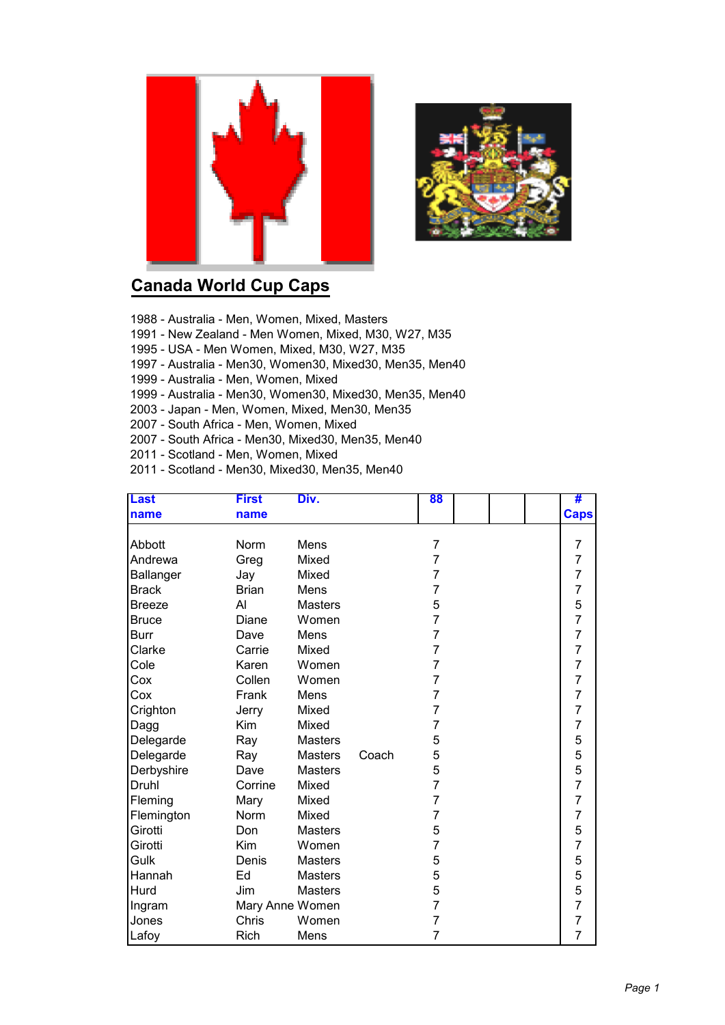



## **Canada World Cup Caps**

- 1988 Australia Men, Women, Mixed, Masters
- 1991 New Zealand Men Women, Mixed, M30, W27, M35
- 1995 USA Men Women, Mixed, M30, W27, M35
- 1997 Australia Men30, Women30, Mixed30, Men35, Men40
- 1999 Australia Men, Women, Mixed
- 1999 Australia Men30, Women30, Mixed30, Men35, Men40
- 2003 Japan Men, Women, Mixed, Men30, Men35
- 2007 South Africa Men, Women, Mixed
- 2007 South Africa Men30, Mixed30, Men35, Men40
- 2011 Scotland Men, Women, Mixed
- 2011 Scotland Men30, Mixed30, Men35, Men40

| <b>Last</b>      | <b>First</b>    | Div.           |       | 88             |  | #              |
|------------------|-----------------|----------------|-------|----------------|--|----------------|
| name             | name            |                |       |                |  | <b>Caps</b>    |
|                  |                 |                |       |                |  |                |
| Abbott           | Norm            | Mens           |       | 7              |  | $\overline{7}$ |
| Andrewa          | Greg            | Mixed          |       | 7              |  | 7              |
| <b>Ballanger</b> | Jay             | Mixed          |       | 7              |  | 7              |
| <b>Brack</b>     | <b>Brian</b>    | Mens           |       | 7              |  | 7              |
| <b>Breeze</b>    | AI              | <b>Masters</b> |       | 5              |  | 5              |
| <b>Bruce</b>     | Diane           | Women          |       | 7              |  | $\overline{7}$ |
| <b>Burr</b>      | Dave            | Mens           |       | $\overline{7}$ |  | $\overline{7}$ |
| Clarke           | Carrie          | Mixed          |       | $\overline{7}$ |  | $\overline{7}$ |
| Cole             | Karen           | Women          |       | $\overline{7}$ |  | 7              |
| Cox              | Collen          | Women          |       | 7              |  | $\overline{7}$ |
| Cox              | Frank           | Mens           |       | 7              |  | $\overline{7}$ |
| Crighton         | Jerry           | Mixed          |       | 7              |  | $\overline{7}$ |
| Dagg             | Kim             | Mixed          |       | 7              |  | $\overline{7}$ |
| Delegarde        | Ray             | <b>Masters</b> |       | 5              |  | 5              |
| Delegarde        | Ray             | <b>Masters</b> | Coach | 5              |  | 5              |
| Derbyshire       | Dave            | <b>Masters</b> |       | 5              |  | 5              |
| Druhl            | Corrine         | Mixed          |       | 7              |  | $\overline{7}$ |
| Fleming          | Mary            | Mixed          |       | 7              |  | $\overline{7}$ |
| Flemington       | Norm            | Mixed          |       | 7              |  | $\overline{7}$ |
| Girotti          | Don             | <b>Masters</b> |       | 5              |  | 5              |
| Girotti          | Kim             | Women          |       | 7              |  | $\overline{7}$ |
| Gulk             | Denis           | <b>Masters</b> |       | 5              |  | 5              |
| Hannah           | Ed              | <b>Masters</b> |       | 5              |  | 5              |
| Hurd             | Jim             | <b>Masters</b> |       | 5              |  | 5              |
| Ingram           | Mary Anne Women |                |       | $\overline{7}$ |  | $\overline{7}$ |
| Jones            | Chris           | Women          |       | 7              |  | $\overline{7}$ |
| Lafoy            | Rich            | Mens           |       | 7              |  | $\overline{7}$ |